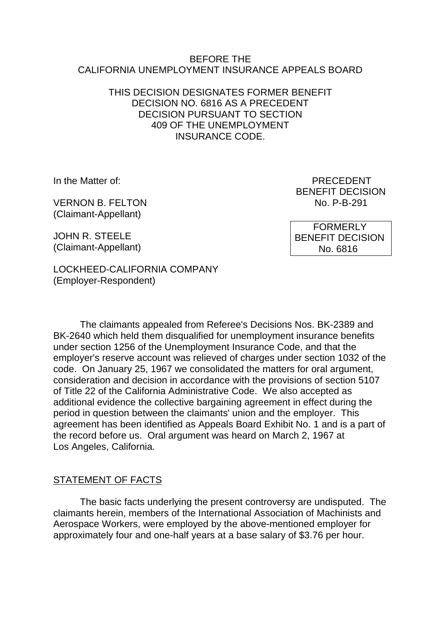#### BEFORE THE CALIFORNIA UNEMPLOYMENT INSURANCE APPEALS BOARD

#### THIS DECISION DESIGNATES FORMER BENEFIT DECISION NO. 6816 AS A PRECEDENT DECISION PURSUANT TO SECTION 409 OF THE UNEMPLOYMENT INSURANCE CODE.

VERNON B. FELTON NO. P-B-291 (Claimant-Appellant)

JOHN R. STEELE (Claimant-Appellant)

In the Matter of: PRECEDENT BENEFIT DECISION

> FORMERLY BENEFIT DECISION No. 6816

LOCKHEED-CALIFORNIA COMPANY (Employer-Respondent)

The claimants appealed from Referee's Decisions Nos. BK-2389 and BK-2640 which held them disqualified for unemployment insurance benefits under section 1256 of the Unemployment Insurance Code, and that the employer's reserve account was relieved of charges under section 1032 of the code. On January 25, 1967 we consolidated the matters for oral argument, consideration and decision in accordance with the provisions of section 5107 of Title 22 of the California Administrative Code. We also accepted as additional evidence the collective bargaining agreement in effect during the period in question between the claimants' union and the employer. This agreement has been identified as Appeals Board Exhibit No. 1 and is a part of the record before us. Oral argument was heard on March 2, 1967 at Los Angeles, California.

# STATEMENT OF FACTS

The basic facts underlying the present controversy are undisputed. The claimants herein, members of the International Association of Machinists and Aerospace Workers, were employed by the above-mentioned employer for approximately four and one-half years at a base salary of \$3.76 per hour.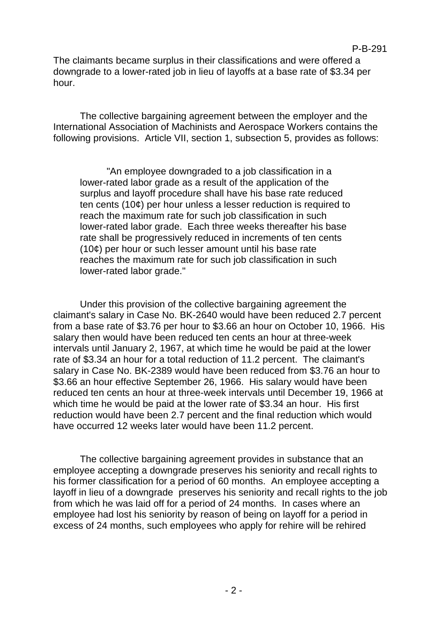The claimants became surplus in their classifications and were offered a downgrade to a lower-rated job in lieu of layoffs at a base rate of \$3.34 per hour.

The collective bargaining agreement between the employer and the International Association of Machinists and Aerospace Workers contains the following provisions. Article VII, section 1, subsection 5, provides as follows:

"An employee downgraded to a job classification in a lower-rated labor grade as a result of the application of the surplus and layoff procedure shall have his base rate reduced ten cents (10¢) per hour unless a lesser reduction is required to reach the maximum rate for such job classification in such lower-rated labor grade. Each three weeks thereafter his base rate shall be progressively reduced in increments of ten cents (10¢) per hour or such lesser amount until his base rate reaches the maximum rate for such job classification in such lower-rated labor grade."

Under this provision of the collective bargaining agreement the claimant's salary in Case No. BK-2640 would have been reduced 2.7 percent from a base rate of \$3.76 per hour to \$3.66 an hour on October 10, 1966. His salary then would have been reduced ten cents an hour at three-week intervals until January 2, 1967, at which time he would be paid at the lower rate of \$3.34 an hour for a total reduction of 11.2 percent. The claimant's salary in Case No. BK-2389 would have been reduced from \$3.76 an hour to \$3.66 an hour effective September 26, 1966. His salary would have been reduced ten cents an hour at three-week intervals until December 19, 1966 at which time he would be paid at the lower rate of \$3.34 an hour. His first reduction would have been 2.7 percent and the final reduction which would have occurred 12 weeks later would have been 11.2 percent.

The collective bargaining agreement provides in substance that an employee accepting a downgrade preserves his seniority and recall rights to his former classification for a period of 60 months. An employee accepting a layoff in lieu of a downgrade preserves his seniority and recall rights to the job from which he was laid off for a period of 24 months. In cases where an employee had lost his seniority by reason of being on layoff for a period in excess of 24 months, such employees who apply for rehire will be rehired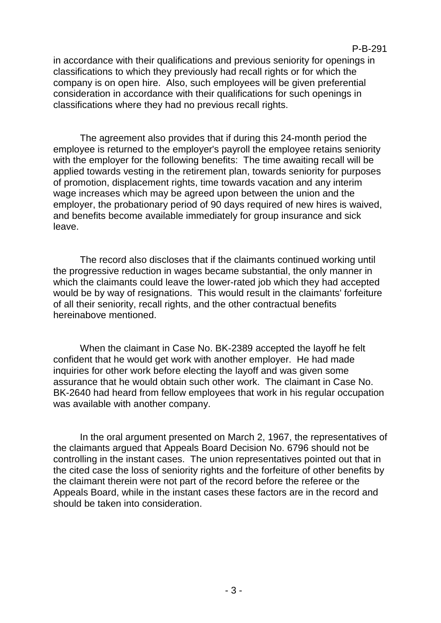#### P-B-291

in accordance with their qualifications and previous seniority for openings in classifications to which they previously had recall rights or for which the company is on open hire. Also, such employees will be given preferential consideration in accordance with their qualifications for such openings in classifications where they had no previous recall rights.

The agreement also provides that if during this 24-month period the employee is returned to the employer's payroll the employee retains seniority with the employer for the following benefits: The time awaiting recall will be applied towards vesting in the retirement plan, towards seniority for purposes of promotion, displacement rights, time towards vacation and any interim wage increases which may be agreed upon between the union and the employer, the probationary period of 90 days required of new hires is waived, and benefits become available immediately for group insurance and sick leave.

The record also discloses that if the claimants continued working until the progressive reduction in wages became substantial, the only manner in which the claimants could leave the lower-rated job which they had accepted would be by way of resignations. This would result in the claimants' forfeiture of all their seniority, recall rights, and the other contractual benefits hereinabove mentioned.

When the claimant in Case No. BK-2389 accepted the layoff he felt confident that he would get work with another employer. He had made inquiries for other work before electing the layoff and was given some assurance that he would obtain such other work. The claimant in Case No. BK-2640 had heard from fellow employees that work in his regular occupation was available with another company.

In the oral argument presented on March 2, 1967, the representatives of the claimants argued that Appeals Board Decision No. 6796 should not be controlling in the instant cases. The union representatives pointed out that in the cited case the loss of seniority rights and the forfeiture of other benefits by the claimant therein were not part of the record before the referee or the Appeals Board, while in the instant cases these factors are in the record and should be taken into consideration.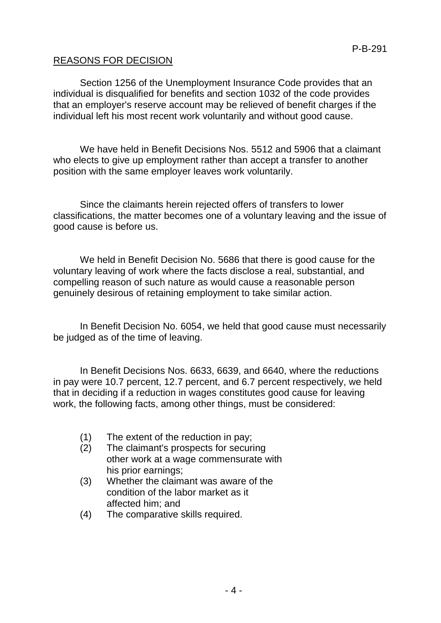# REASONS FOR DECISION

Section 1256 of the Unemployment Insurance Code provides that an individual is disqualified for benefits and section 1032 of the code provides that an employer's reserve account may be relieved of benefit charges if the individual left his most recent work voluntarily and without good cause.

We have held in Benefit Decisions Nos. 5512 and 5906 that a claimant who elects to give up employment rather than accept a transfer to another position with the same employer leaves work voluntarily.

Since the claimants herein rejected offers of transfers to lower classifications, the matter becomes one of a voluntary leaving and the issue of good cause is before us.

We held in Benefit Decision No. 5686 that there is good cause for the voluntary leaving of work where the facts disclose a real, substantial, and compelling reason of such nature as would cause a reasonable person genuinely desirous of retaining employment to take similar action.

In Benefit Decision No. 6054, we held that good cause must necessarily be judged as of the time of leaving.

In Benefit Decisions Nos. 6633, 6639, and 6640, where the reductions in pay were 10.7 percent, 12.7 percent, and 6.7 percent respectively, we held that in deciding if a reduction in wages constitutes good cause for leaving work, the following facts, among other things, must be considered:

- (1) The extent of the reduction in pay;
- (2) The claimant's prospects for securing other work at a wage commensurate with his prior earnings;
- (3) Whether the claimant was aware of the condition of the labor market as it affected him; and
- (4) The comparative skills required.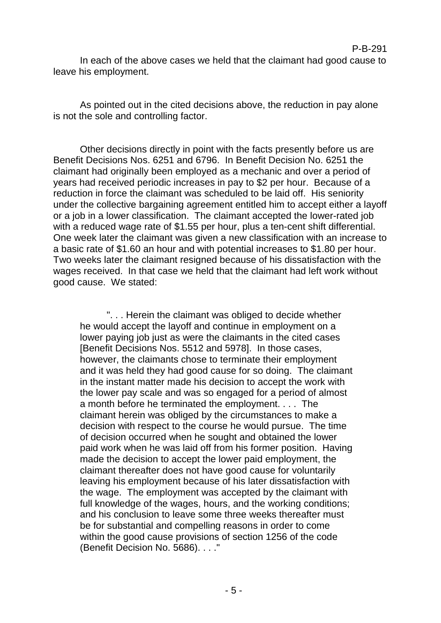P-B-291

As pointed out in the cited decisions above, the reduction in pay alone is not the sole and controlling factor.

Other decisions directly in point with the facts presently before us are Benefit Decisions Nos. 6251 and 6796. In Benefit Decision No. 6251 the claimant had originally been employed as a mechanic and over a period of years had received periodic increases in pay to \$2 per hour. Because of a reduction in force the claimant was scheduled to be laid off. His seniority under the collective bargaining agreement entitled him to accept either a layoff or a job in a lower classification. The claimant accepted the lower-rated job with a reduced wage rate of \$1.55 per hour, plus a ten-cent shift differential. One week later the claimant was given a new classification with an increase to a basic rate of \$1.60 an hour and with potential increases to \$1.80 per hour. Two weeks later the claimant resigned because of his dissatisfaction with the wages received. In that case we held that the claimant had left work without good cause. We stated:

". . . Herein the claimant was obliged to decide whether he would accept the layoff and continue in employment on a lower paying job just as were the claimants in the cited cases [Benefit Decisions Nos. 5512 and 5978]. In those cases, however, the claimants chose to terminate their employment and it was held they had good cause for so doing. The claimant in the instant matter made his decision to accept the work with the lower pay scale and was so engaged for a period of almost a month before he terminated the employment. . . . The claimant herein was obliged by the circumstances to make a decision with respect to the course he would pursue. The time of decision occurred when he sought and obtained the lower paid work when he was laid off from his former position. Having made the decision to accept the lower paid employment, the claimant thereafter does not have good cause for voluntarily leaving his employment because of his later dissatisfaction with the wage. The employment was accepted by the claimant with full knowledge of the wages, hours, and the working conditions; and his conclusion to leave some three weeks thereafter must be for substantial and compelling reasons in order to come within the good cause provisions of section 1256 of the code (Benefit Decision No. 5686). . . ."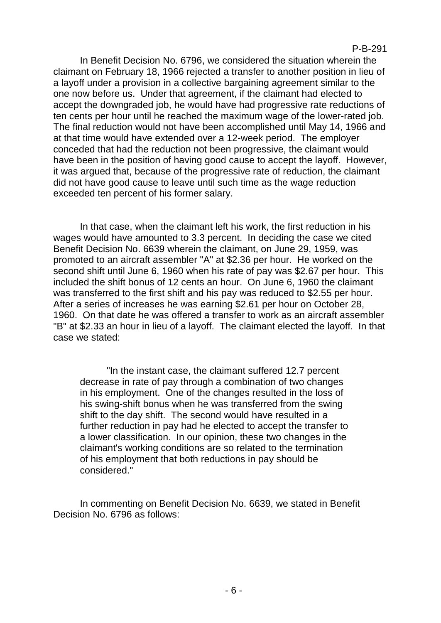In Benefit Decision No. 6796, we considered the situation wherein the claimant on February 18, 1966 rejected a transfer to another position in lieu of a layoff under a provision in a collective bargaining agreement similar to the one now before us. Under that agreement, if the claimant had elected to accept the downgraded job, he would have had progressive rate reductions of ten cents per hour until he reached the maximum wage of the lower-rated job. The final reduction would not have been accomplished until May 14, 1966 and at that time would have extended over a 12-week period. The employer conceded that had the reduction not been progressive, the claimant would have been in the position of having good cause to accept the layoff. However, it was argued that, because of the progressive rate of reduction, the claimant did not have good cause to leave until such time as the wage reduction exceeded ten percent of his former salary.

In that case, when the claimant left his work, the first reduction in his wages would have amounted to 3.3 percent. In deciding the case we cited Benefit Decision No. 6639 wherein the claimant, on June 29, 1959, was promoted to an aircraft assembler "A" at \$2.36 per hour. He worked on the second shift until June 6, 1960 when his rate of pay was \$2.67 per hour. This included the shift bonus of 12 cents an hour. On June 6, 1960 the claimant was transferred to the first shift and his pay was reduced to \$2.55 per hour. After a series of increases he was earning \$2.61 per hour on October 28, 1960. On that date he was offered a transfer to work as an aircraft assembler "B" at \$2.33 an hour in lieu of a layoff. The claimant elected the layoff. In that case we stated:

"In the instant case, the claimant suffered 12.7 percent decrease in rate of pay through a combination of two changes in his employment. One of the changes resulted in the loss of his swing-shift bonus when he was transferred from the swing shift to the day shift. The second would have resulted in a further reduction in pay had he elected to accept the transfer to a lower classification. In our opinion, these two changes in the claimant's working conditions are so related to the termination of his employment that both reductions in pay should be considered."

In commenting on Benefit Decision No. 6639, we stated in Benefit Decision No. 6796 as follows: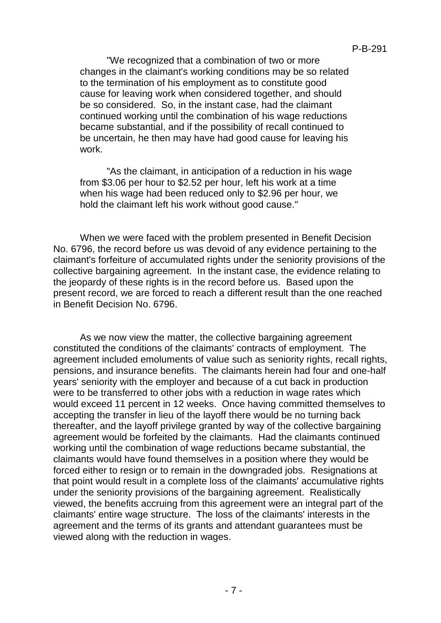"We recognized that a combination of two or more changes in the claimant's working conditions may be so related to the termination of his employment as to constitute good cause for leaving work when considered together, and should be so considered. So, in the instant case, had the claimant continued working until the combination of his wage reductions became substantial, and if the possibility of recall continued to be uncertain, he then may have had good cause for leaving his work.

"As the claimant, in anticipation of a reduction in his wage from \$3.06 per hour to \$2.52 per hour, left his work at a time when his wage had been reduced only to \$2.96 per hour, we hold the claimant left his work without good cause."

When we were faced with the problem presented in Benefit Decision No. 6796, the record before us was devoid of any evidence pertaining to the claimant's forfeiture of accumulated rights under the seniority provisions of the collective bargaining agreement. In the instant case, the evidence relating to the jeopardy of these rights is in the record before us. Based upon the present record, we are forced to reach a different result than the one reached in Benefit Decision No. 6796.

As we now view the matter, the collective bargaining agreement constituted the conditions of the claimants' contracts of employment. The agreement included emoluments of value such as seniority rights, recall rights, pensions, and insurance benefits. The claimants herein had four and one-half years' seniority with the employer and because of a cut back in production were to be transferred to other jobs with a reduction in wage rates which would exceed 11 percent in 12 weeks. Once having committed themselves to accepting the transfer in lieu of the layoff there would be no turning back thereafter, and the layoff privilege granted by way of the collective bargaining agreement would be forfeited by the claimants. Had the claimants continued working until the combination of wage reductions became substantial, the claimants would have found themselves in a position where they would be forced either to resign or to remain in the downgraded jobs. Resignations at that point would result in a complete loss of the claimants' accumulative rights under the seniority provisions of the bargaining agreement. Realistically viewed, the benefits accruing from this agreement were an integral part of the claimants' entire wage structure. The loss of the claimants' interests in the agreement and the terms of its grants and attendant guarantees must be viewed along with the reduction in wages.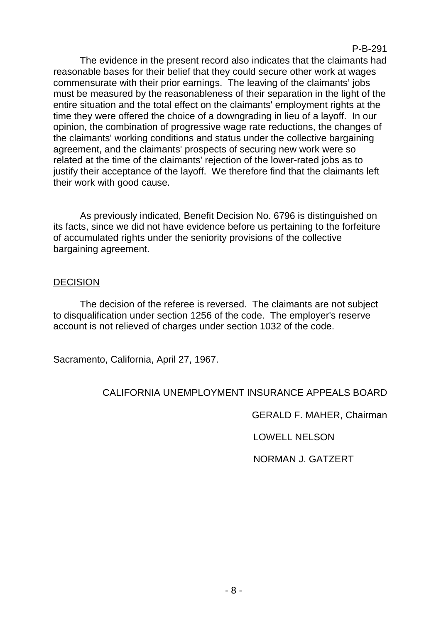The evidence in the present record also indicates that the claimants had reasonable bases for their belief that they could secure other work at wages commensurate with their prior earnings. The leaving of the claimants' jobs must be measured by the reasonableness of their separation in the light of the entire situation and the total effect on the claimants' employment rights at the time they were offered the choice of a downgrading in lieu of a layoff. In our opinion, the combination of progressive wage rate reductions, the changes of the claimants' working conditions and status under the collective bargaining agreement, and the claimants' prospects of securing new work were so related at the time of the claimants' rejection of the lower-rated jobs as to justify their acceptance of the layoff. We therefore find that the claimants left their work with good cause.

As previously indicated, Benefit Decision No. 6796 is distinguished on its facts, since we did not have evidence before us pertaining to the forfeiture of accumulated rights under the seniority provisions of the collective bargaining agreement.

# DECISION

The decision of the referee is reversed. The claimants are not subject to disqualification under section 1256 of the code. The employer's reserve account is not relieved of charges under section 1032 of the code.

Sacramento, California, April 27, 1967.

# CALIFORNIA UNEMPLOYMENT INSURANCE APPEALS BOARD

GERALD F. MAHER, Chairman

LOWELL NELSON

NORMAN J. GATZERT